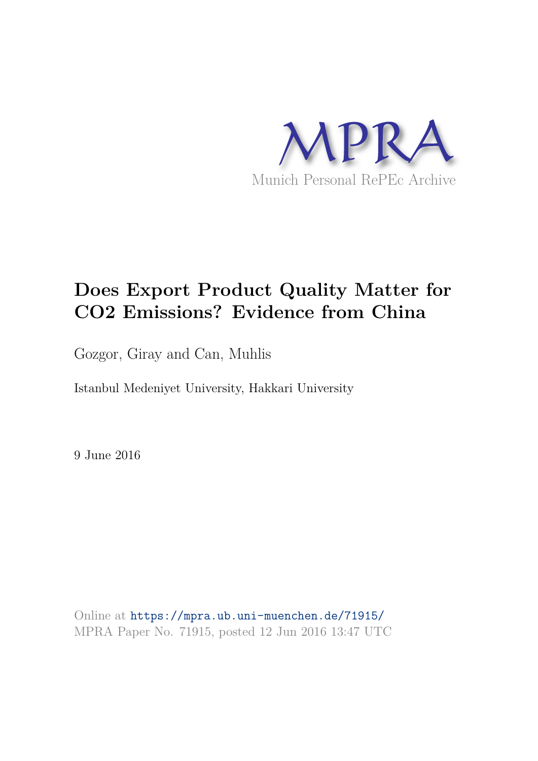

# **Does Export Product Quality Matter for CO2 Emissions? Evidence from China**

Gozgor, Giray and Can, Muhlis

Istanbul Medeniyet University, Hakkari University

9 June 2016

Online at https://mpra.ub.uni-muenchen.de/71915/ MPRA Paper No. 71915, posted 12 Jun 2016 13:47 UTC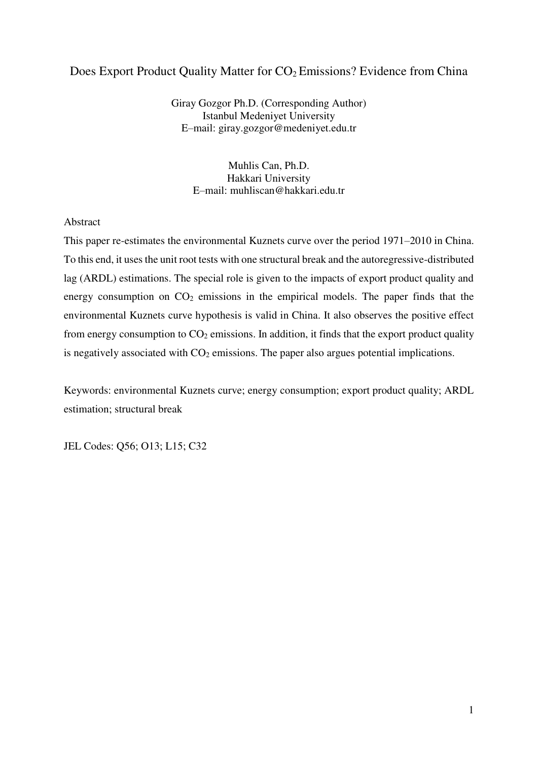# Does Export Product Quality Matter for  $CO<sub>2</sub>$  Emissions? Evidence from China

Giray Gozgor Ph.D. (Corresponding Author) Istanbul Medeniyet University E–mail: giray.gozgor@medeniyet.edu.tr

> Muhlis Can, Ph.D. Hakkari University E–mail: [muhliscan@hakkari.edu.tr](mailto:muhliscan@hakkari.edu.tr)

## Abstract

This paper re-estimates the environmental Kuznets curve over the period 1971–2010 in China. To this end, it uses the unit root tests with one structural break and the autoregressive-distributed lag (ARDL) estimations. The special role is given to the impacts of export product quality and energy consumption on  $CO<sub>2</sub>$  emissions in the empirical models. The paper finds that the environmental Kuznets curve hypothesis is valid in China. It also observes the positive effect from energy consumption to  $CO<sub>2</sub>$  emissions. In addition, it finds that the export product quality is negatively associated with  $CO<sub>2</sub>$  emissions. The paper also argues potential implications.

Keywords: environmental Kuznets curve; energy consumption; export product quality; ARDL estimation; structural break

JEL Codes: Q56; O13; L15; C32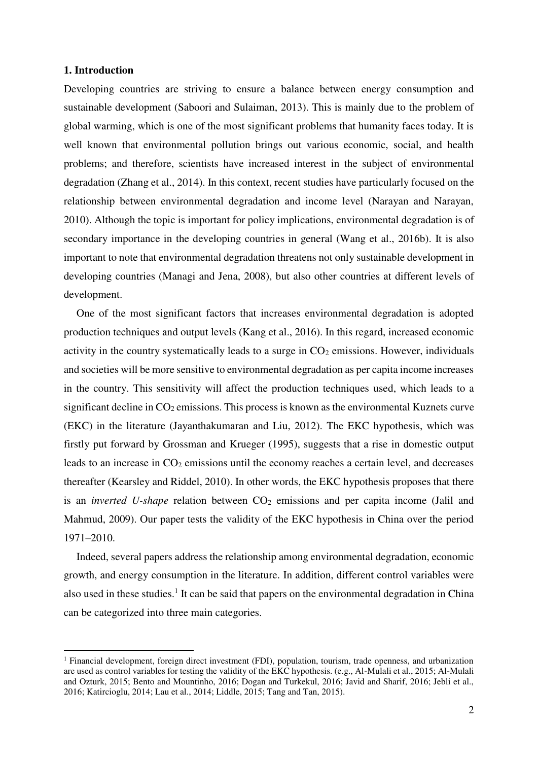#### **1. Introduction**

 $\overline{a}$ 

Developing countries are striving to ensure a balance between energy consumption and sustainable development (Saboori and Sulaiman, 2013). This is mainly due to the problem of global warming, which is one of the most significant problems that humanity faces today. It is well known that environmental pollution brings out various economic, social, and health problems; and therefore, scientists have increased interest in the subject of environmental degradation (Zhang et al., 2014). In this context, recent studies have particularly focused on the relationship between environmental degradation and income level (Narayan and Narayan, 2010). Although the topic is important for policy implications, environmental degradation is of secondary importance in the developing countries in general (Wang et al., 2016b). It is also important to note that environmental degradation threatens not only sustainable development in developing countries (Managi and Jena, 2008), but also other countries at different levels of development.

One of the most significant factors that increases environmental degradation is adopted production techniques and output levels (Kang et al., 2016). In this regard, increased economic activity in the country systematically leads to a surge in  $CO<sub>2</sub>$  emissions. However, individuals and societies will be more sensitive to environmental degradation as per capita income increases in the country. This sensitivity will affect the production techniques used, which leads to a significant decline in  $CO<sub>2</sub>$  emissions. This process is known as the environmental Kuznets curve (EKC) in the literature (Jayanthakumaran and Liu, 2012). The EKC hypothesis, which was firstly put forward by Grossman and Krueger (1995), suggests that a rise in domestic output leads to an increase in  $CO<sub>2</sub>$  emissions until the economy reaches a certain level, and decreases thereafter (Kearsley and Riddel, 2010). In other words, the EKC hypothesis proposes that there is an *inverted U-shape* relation between  $CO<sub>2</sub>$  emissions and per capita income (Jalil and Mahmud, 2009). Our paper tests the validity of the EKC hypothesis in China over the period 1971–2010.

Indeed, several papers address the relationship among environmental degradation, economic growth, and energy consumption in the literature. In addition, different control variables were also used in these studies.<sup>1</sup> It can be said that papers on the environmental degradation in China can be categorized into three main categories.

<sup>&</sup>lt;sup>1</sup> Financial development, foreign direct investment (FDI), population, tourism, trade openness, and urbanization are used as control variables for testing the validity of the EKC hypothesis. (e.g., Al-Mulali et al., 2015; Al-Mulali and Ozturk, 2015; Bento and Mountinho, 2016; Dogan and Turkekul, 2016; Javid and Sharif, 2016; Jebli et al., 2016; Katircioglu, 2014; Lau et al., 2014; Liddle, 2015; Tang and Tan, 2015).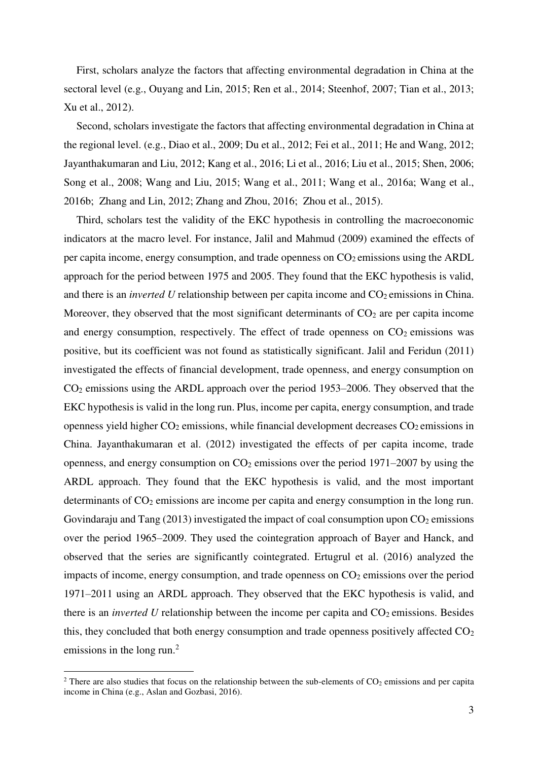First, scholars analyze the factors that affecting environmental degradation in China at the sectoral level (e.g., Ouyang and Lin, 2015; Ren et al., 2014; Steenhof, 2007; Tian et al., 2013; Xu et al., 2012).

Second, scholars investigate the factors that affecting environmental degradation in China at the regional level. (e.g., Diao et al., 2009; Du et al., 2012; Fei et al., 2011; He and Wang, 2012; Jayanthakumaran and Liu, 2012; Kang et al., 2016; Li et al., 2016; Liu et al., 2015; Shen, 2006; Song et al., 2008; Wang and Liu, 2015; Wang et al., 2011; Wang et al., 2016a; Wang et al., 2016b; Zhang and Lin, 2012; Zhang and Zhou, 2016; Zhou et al., 2015).

Third, scholars test the validity of the EKC hypothesis in controlling the macroeconomic indicators at the macro level. For instance, Jalil and Mahmud (2009) examined the effects of per capita income, energy consumption, and trade openness on  $CO<sub>2</sub>$  emissions using the ARDL approach for the period between 1975 and 2005. They found that the EKC hypothesis is valid, and there is an *inverted U* relationship between per capita income and  $CO<sub>2</sub>$  emissions in China. Moreover, they observed that the most significant determinants of  $CO<sub>2</sub>$  are per capita income and energy consumption, respectively. The effect of trade openness on  $CO<sub>2</sub>$  emissions was positive, but its coefficient was not found as statistically significant. Jalil and Feridun (2011) investigated the effects of financial development, trade openness, and energy consumption on CO2 emissions using the ARDL approach over the period 1953–2006. They observed that the EKC hypothesis is valid in the long run. Plus, income per capita, energy consumption, and trade openness yield higher  $CO<sub>2</sub>$  emissions, while financial development decreases  $CO<sub>2</sub>$  emissions in China. Jayanthakumaran et al. (2012) investigated the effects of per capita income, trade openness, and energy consumption on  $CO<sub>2</sub>$  emissions over the period 1971–2007 by using the ARDL approach. They found that the EKC hypothesis is valid, and the most important determinants of  $CO<sub>2</sub>$  emissions are income per capita and energy consumption in the long run. Govindaraju and Tang  $(2013)$  investigated the impact of coal consumption upon  $CO<sub>2</sub>$  emissions over the period 1965–2009. They used the cointegration approach of Bayer and Hanck, and observed that the series are significantly cointegrated. Ertugrul et al. (2016) analyzed the impacts of income, energy consumption, and trade openness on  $CO<sub>2</sub>$  emissions over the period 1971–2011 using an ARDL approach. They observed that the EKC hypothesis is valid, and there is an *inverted U* relationship between the income per capita and  $CO<sub>2</sub>$  emissions. Besides this, they concluded that both energy consumption and trade openness positively affected  $CO<sub>2</sub>$ emissions in the long run.<sup>2</sup>

 $\overline{a}$ 

<sup>&</sup>lt;sup>2</sup> There are also studies that focus on the relationship between the sub-elements of  $CO<sub>2</sub>$  emissions and per capita income in China (e.g., Aslan and Gozbasi, 2016).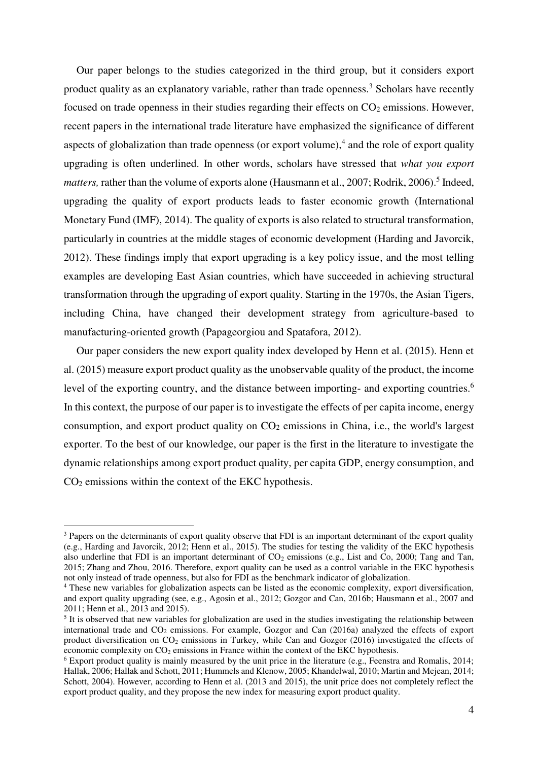Our paper belongs to the studies categorized in the third group, but it considers export product quality as an explanatory variable, rather than trade openness.<sup>3</sup> Scholars have recently focused on trade openness in their studies regarding their effects on  $CO<sub>2</sub>$  emissions. However, recent papers in the international trade literature have emphasized the significance of different aspects of globalization than trade openness (or export volume), $4$  and the role of export quality upgrading is often underlined. In other words, scholars have stressed that *what you export*  matters, rather than the volume of exports alone (Hausmann et al., 2007; Rodrik, 2006).<sup>5</sup> Indeed, upgrading the quality of export products leads to faster economic growth (International Monetary Fund (IMF), 2014). The quality of exports is also related to structural transformation, particularly in countries at the middle stages of economic development (Harding and Javorcik, 2012). These findings imply that export upgrading is a key policy issue, and the most telling examples are developing East Asian countries, which have succeeded in achieving structural transformation through the upgrading of export quality. Starting in the 1970s, the Asian Tigers, including China, have changed their development strategy from agriculture-based to manufacturing-oriented growth (Papageorgiou and Spatafora, 2012).

Our paper considers the new export quality index developed by Henn et al. (2015). Henn et al. (2015) measure export product quality as the unobservable quality of the product, the income level of the exporting country, and the distance between importing- and exporting countries.<sup>6</sup> In this context, the purpose of our paper is to investigate the effects of per capita income, energy consumption, and export product quality on  $CO<sub>2</sub>$  emissions in China, i.e., the world's largest exporter. To the best of our knowledge, our paper is the first in the literature to investigate the dynamic relationships among export product quality, per capita GDP, energy consumption, and  $CO<sub>2</sub>$  emissions within the context of the EKC hypothesis.

 $\overline{a}$ 

<sup>&</sup>lt;sup>3</sup> Papers on the determinants of export quality observe that FDI is an important determinant of the export quality (e.g., Harding and Javorcik, 2012; Henn et al., 2015). The studies for testing the validity of the EKC hypothesis also underline that FDI is an important determinant of  $CO<sub>2</sub>$  emissions (e.g., List and Co, 2000; Tang and Tan, 2015; Zhang and Zhou, 2016. Therefore, export quality can be used as a control variable in the EKC hypothesis not only instead of trade openness, but also for FDI as the benchmark indicator of globalization.

<sup>&</sup>lt;sup>4</sup> These new variables for globalization aspects can be listed as the economic complexity, export diversification, and export quality upgrading (see, e.g., Agosin et al., 2012; Gozgor and Can, 2016b; Hausmann et al., 2007 and 2011; Henn et al., 2013 and 2015).

<sup>&</sup>lt;sup>5</sup> It is observed that new variables for globalization are used in the studies investigating the relationship between international trade and  $CO<sub>2</sub>$  emissions. For example, Gozgor and Can (2016a) analyzed the effects of export product diversification on CO<sub>2</sub> emissions in Turkey, while Can and Gozgor (2016) investigated the effects of economic complexity on  $CO<sub>2</sub>$  emissions in France within the context of the EKC hypothesis.

<sup>&</sup>lt;sup>6</sup> Export product quality is mainly measured by the unit price in the literature (e.g., Feenstra and Romalis, 2014; Hallak, 2006; Hallak and Schott, 2011; Hummels and Klenow, 2005; Khandelwal, 2010; Martin and Mejean, 2014; Schott, 2004). However, according to Henn et al. (2013 and 2015), the unit price does not completely reflect the export product quality, and they propose the new index for measuring export product quality.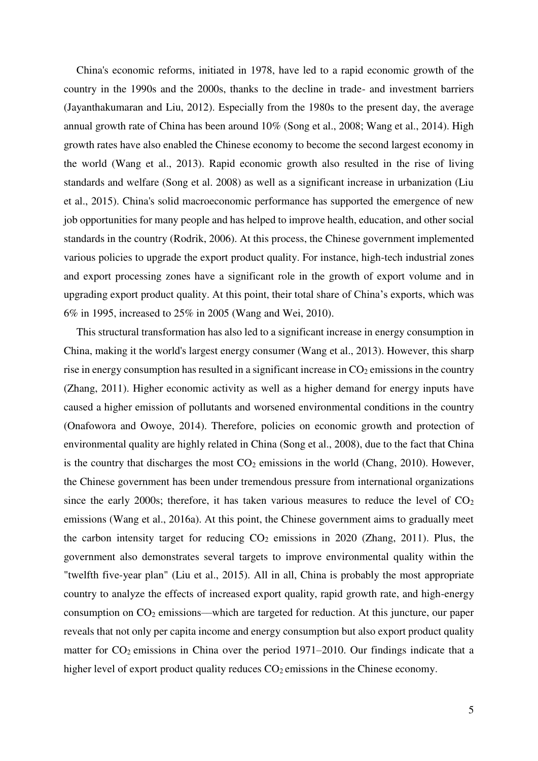China's economic reforms, initiated in 1978, have led to a rapid economic growth of the country in the 1990s and the 2000s, thanks to the decline in trade- and investment barriers (Jayanthakumaran and Liu, 2012). Especially from the 1980s to the present day, the average annual growth rate of China has been around 10% (Song et al., 2008; Wang et al., 2014). High growth rates have also enabled the Chinese economy to become the second largest economy in the world (Wang et al., 2013). Rapid economic growth also resulted in the rise of living standards and welfare (Song et al. 2008) as well as a significant increase in urbanization (Liu et al., 2015). China's solid macroeconomic performance has supported the emergence of new job opportunities for many people and has helped to improve health, education, and other social standards in the country (Rodrik, 2006). At this process, the Chinese government implemented various policies to upgrade the export product quality. For instance, high-tech industrial zones and export processing zones have a significant role in the growth of export volume and in upgrading export product quality. At this point, their total share of China's exports, which was 6% in 1995, increased to 25% in 2005 (Wang and Wei, 2010).

This structural transformation has also led to a significant increase in energy consumption in China, making it the world's largest energy consumer (Wang et al., 2013). However, this sharp rise in energy consumption has resulted in a significant increase in  $CO<sub>2</sub>$  emissions in the country (Zhang, 2011). Higher economic activity as well as a higher demand for energy inputs have caused a higher emission of pollutants and worsened environmental conditions in the country (Onafowora and Owoye, 2014). Therefore, policies on economic growth and protection of environmental quality are highly related in China (Song et al., 2008), due to the fact that China is the country that discharges the most  $CO<sub>2</sub>$  emissions in the world (Chang, 2010). However, the Chinese government has been under tremendous pressure from international organizations since the early 2000s; therefore, it has taken various measures to reduce the level of  $CO<sub>2</sub>$ emissions (Wang et al., 2016a). At this point, the Chinese government aims to gradually meet the carbon intensity target for reducing  $CO<sub>2</sub>$  emissions in 2020 (Zhang, 2011). Plus, the government also demonstrates several targets to improve environmental quality within the "twelfth five-year plan" (Liu et al., 2015). All in all, China is probably the most appropriate country to analyze the effects of increased export quality, rapid growth rate, and high-energy consumption on CO2 emissions––which are targeted for reduction. At this juncture, our paper reveals that not only per capita income and energy consumption but also export product quality matter for  $CO<sub>2</sub>$  emissions in China over the period 1971–2010. Our findings indicate that a higher level of export product quality reduces  $CO<sub>2</sub>$  emissions in the Chinese economy.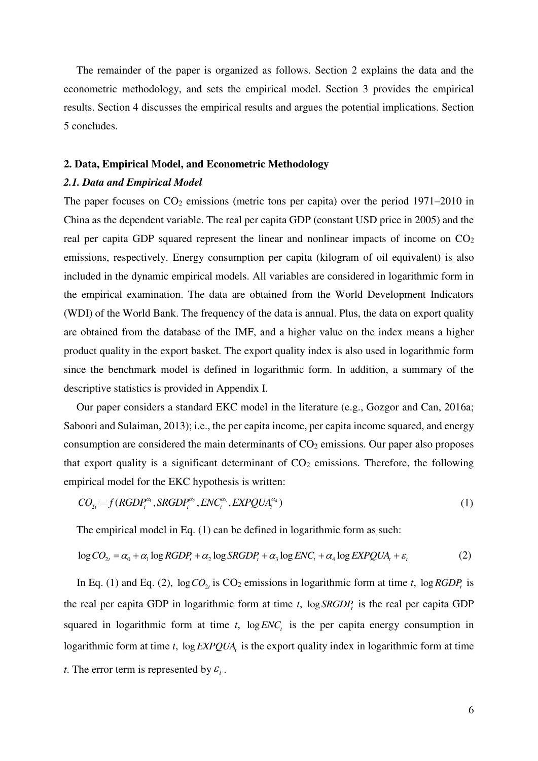The remainder of the paper is organized as follows. Section 2 explains the data and the econometric methodology, and sets the empirical model. Section 3 provides the empirical results. Section 4 discusses the empirical results and argues the potential implications. Section 5 concludes.

#### **2. Data, Empirical Model, and Econometric Methodology**

#### *2.1. Data and Empirical Model*

The paper focuses on  $CO_2$  emissions (metric tons per capita) over the period 1971–2010 in China as the dependent variable. The real per capita GDP (constant USD price in 2005) and the real per capita GDP squared represent the linear and nonlinear impacts of income on  $CO<sub>2</sub>$ emissions, respectively. Energy consumption per capita (kilogram of oil equivalent) is also included in the dynamic empirical models. All variables are considered in logarithmic form in the empirical examination. The data are obtained from the World Development Indicators (WDI) of the World Bank. The frequency of the data is annual. Plus, the data on export quality are obtained from the database of the IMF, and a higher value on the index means a higher product quality in the export basket. The export quality index is also used in logarithmic form since the benchmark model is defined in logarithmic form. In addition, a summary of the descriptive statistics is provided in Appendix I.

Our paper considers a standard EKC model in the literature (e.g., Gozgor and Can, 2016a; Saboori and Sulaiman, 2013); i.e., the per capita income, per capita income squared, and energy consumption are considered the main determinants of  $CO<sub>2</sub>$  emissions. Our paper also proposes that export quality is a significant determinant of  $CO<sub>2</sub>$  emissions. Therefore, the following empirical model for the EKC hypothesis is written:

$$
CO_{2t} = f(RGDP_t^{\alpha_1}, SRGDP_t^{\alpha_2}, ENC_t^{\alpha_3}, EXPQUA_t^{\alpha_4})
$$
\n
$$
(1)
$$

The empirical model in Eq. (1) can be defined in logarithmic form as such:

$$
\log CO_{2t} = \alpha_0 + \alpha_1 \log RGDP_t + \alpha_2 \log SRGDP_t + \alpha_3 \log ENC_t + \alpha_4 \log EXPQUA_t + \varepsilon_t
$$
 (2)

In Eq. (1) and Eq. (2),  $\log CO_{2t}$  is  $CO_2$  emissions in logarithmic form at time *t*,  $\log RGBP_t$  is the real per capita GDP in logarithmic form at time *t*, log *SRGDP*<sub>*t*</sub> is the real per capita GDP squared in logarithmic form at time  $t$ ,  $log ENC<sub>t</sub>$  is the per capita energy consumption in logarithmic form at time *t*, log*EXPQUA<sup>t</sup>* is the export quality index in logarithmic form at time *t*. The error term is represented by  $\varepsilon_{i}$ .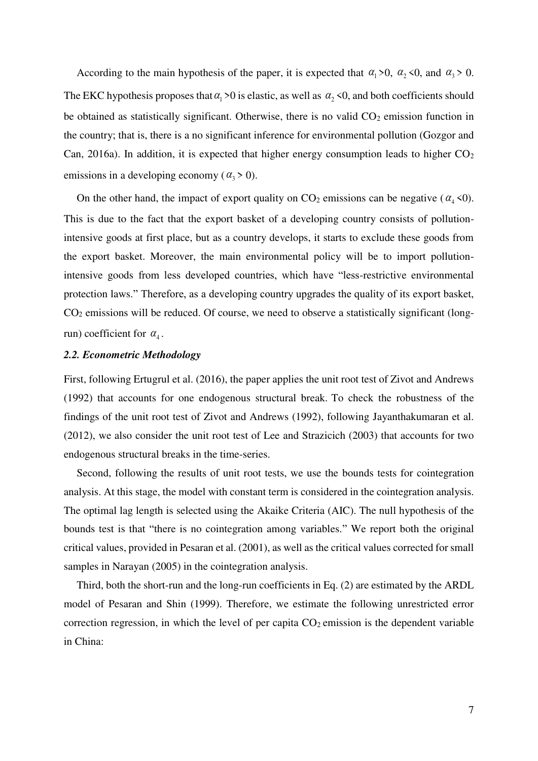According to the main hypothesis of the paper, it is expected that  $\alpha_1 > 0$ ,  $\alpha_2 < 0$ , and  $\alpha_3 > 0$ . The EKC hypothesis proposes that  $\alpha_1 > 0$  is elastic, as well as  $\alpha_2 < 0$ , and both coefficients should be obtained as statistically significant. Otherwise, there is no valid  $CO<sub>2</sub>$  emission function in the country; that is, there is a no significant inference for environmental pollution (Gozgor and Can, 2016a). In addition, it is expected that higher energy consumption leads to higher  $CO<sub>2</sub>$ emissions in a developing economy ( $\alpha$ <sup>3</sup> > 0).

On the other hand, the impact of export quality on  $CO_2$  emissions can be negative ( $\alpha_4$  <0). This is due to the fact that the export basket of a developing country consists of pollutionintensive goods at first place, but as a country develops, it starts to exclude these goods from the export basket. Moreover, the main environmental policy will be to import pollutionintensive goods from less developed countries, which have "less-restrictive environmental protection laws." Therefore, as a developing country upgrades the quality of its export basket,  $CO<sub>2</sub>$  emissions will be reduced. Of course, we need to observe a statistically significant (longrun) coefficient for  $\alpha_4$ .

#### *2.2. Econometric Methodology*

First, following Ertugrul et al. (2016), the paper applies the unit root test of Zivot and Andrews (1992) that accounts for one endogenous structural break. To check the robustness of the findings of the unit root test of Zivot and Andrews (1992), following Jayanthakumaran et al. (2012), we also consider the unit root test of Lee and Strazicich (2003) that accounts for two endogenous structural breaks in the time-series.

Second, following the results of unit root tests, we use the bounds tests for cointegration analysis. At this stage, the model with constant term is considered in the cointegration analysis. The optimal lag length is selected using the Akaike Criteria (AIC). The null hypothesis of the bounds test is that "there is no cointegration among variables." We report both the original critical values, provided in Pesaran et al. (2001), as well as the critical values corrected for small samples in Narayan (2005) in the cointegration analysis.

Third, both the short-run and the long-run coefficients in Eq. (2) are estimated by the ARDL model of Pesaran and Shin (1999). Therefore, we estimate the following unrestricted error correction regression, in which the level of per capita  $CO<sub>2</sub>$  emission is the dependent variable in China: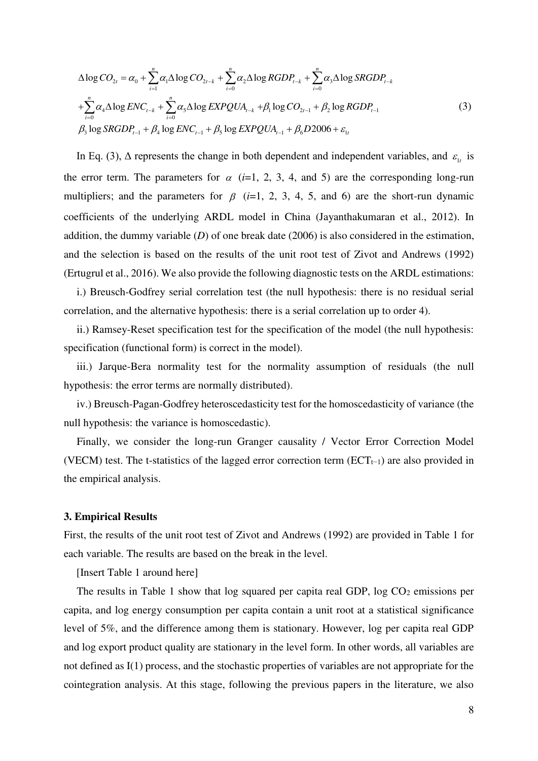$$
\Delta \log CO_{2t} = \alpha_0 + \sum_{i=1}^{n} \alpha_i \Delta \log CO_{2t-k} + \sum_{i=0}^{n} \alpha_2 \Delta \log RGB_{t-k} + \sum_{i=0}^{n} \alpha_3 \Delta \log SRGDP_{t-k} \n+ \sum_{i=0}^{n} \alpha_4 \Delta \log ENC_{t-k} + \sum_{i=0}^{n} \alpha_5 \Delta \log EXPQUA_{t-k} + \beta_1 \log CO_{2t-1} + \beta_2 \log RGB_{t-1} \n\beta_3 \log SRGDP_{t-1} + \beta_4 \log ENC_{t-1} + \beta_5 \log EXPQUA_{t-1} + \beta_6 D2006 + \varepsilon_{1t}
$$
\n(3)

In Eq. (3),  $\Delta$  represents the change in both dependent and independent variables, and  $\varepsilon_{1t}$  is the error term. The parameters for  $\alpha$  (*i*=1, 2, 3, 4, and 5) are the corresponding long-run multipliers; and the parameters for  $\beta$  (*i*=1, 2, 3, 4, 5, and 6) are the short-run dynamic coefficients of the underlying ARDL model in China (Jayanthakumaran et al., 2012). In addition, the dummy variable (*D*) of one break date (2006) is also considered in the estimation, and the selection is based on the results of the unit root test of Zivot and Andrews (1992) (Ertugrul et al., 2016). We also provide the following diagnostic tests on the ARDL estimations:

i.) Breusch-Godfrey serial correlation test (the null hypothesis: there is no residual serial correlation, and the alternative hypothesis: there is a serial correlation up to order 4).

ii.) Ramsey-Reset specification test for the specification of the model (the null hypothesis: specification (functional form) is correct in the model).

iii.) Jarque-Bera normality test for the normality assumption of residuals (the null hypothesis: the error terms are normally distributed).

iv.) Breusch-Pagan-Godfrey heteroscedasticity test for the homoscedasticity of variance (the null hypothesis: the variance is homoscedastic).

Finally, we consider the long-run Granger causality / Vector Error Correction Model (VECM) test. The t-statistics of the lagged error correction term ( $ECT_{t-1}$ ) are also provided in the empirical analysis.

#### **3. Empirical Results**

First, the results of the unit root test of Zivot and Andrews (1992) are provided in Table 1 for each variable. The results are based on the break in the level.

[Insert Table 1 around here]

The results in Table 1 show that log squared per capita real GDP,  $log CO<sub>2</sub>$  emissions per capita, and log energy consumption per capita contain a unit root at a statistical significance level of 5%, and the difference among them is stationary. However, log per capita real GDP and log export product quality are stationary in the level form. In other words, all variables are not defined as I(1) process, and the stochastic properties of variables are not appropriate for the cointegration analysis. At this stage, following the previous papers in the literature, we also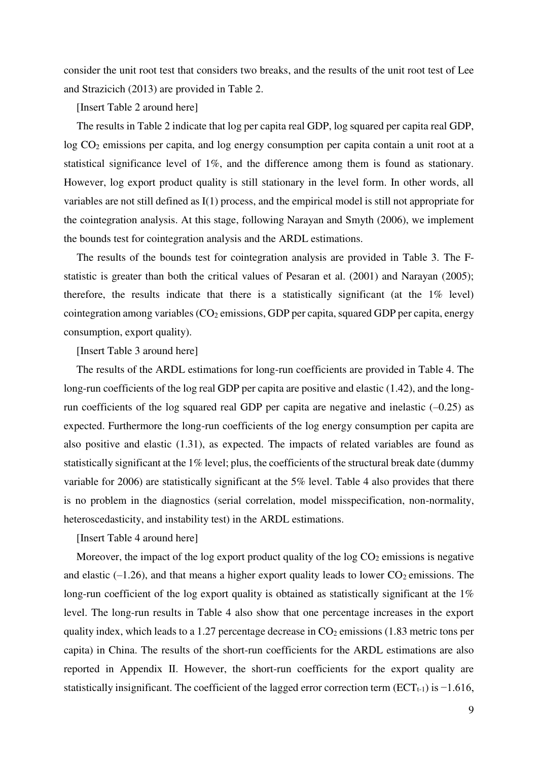consider the unit root test that considers two breaks, and the results of the unit root test of Lee and Strazicich (2013) are provided in Table 2.

[Insert Table 2 around here]

The results in Table 2 indicate that log per capita real GDP, log squared per capita real GDP, log CO<sub>2</sub> emissions per capita, and log energy consumption per capita contain a unit root at a statistical significance level of 1%, and the difference among them is found as stationary. However, log export product quality is still stationary in the level form. In other words, all variables are not still defined as I(1) process, and the empirical model is still not appropriate for the cointegration analysis. At this stage, following Narayan and Smyth (2006), we implement the bounds test for cointegration analysis and the ARDL estimations.

The results of the bounds test for cointegration analysis are provided in Table 3. The Fstatistic is greater than both the critical values of Pesaran et al. (2001) and Narayan (2005); therefore, the results indicate that there is a statistically significant (at the 1% level) cointegration among variables  $(CO_2$  emissions, GDP per capita, squared GDP per capita, energy consumption, export quality).

[Insert Table 3 around here]

The results of the ARDL estimations for long-run coefficients are provided in Table 4. The long-run coefficients of the log real GDP per capita are positive and elastic (1.42), and the longrun coefficients of the log squared real GDP per capita are negative and inelastic  $(-0.25)$  as expected. Furthermore the long-run coefficients of the log energy consumption per capita are also positive and elastic (1.31), as expected. The impacts of related variables are found as statistically significant at the 1% level; plus, the coefficients of the structural break date (dummy variable for 2006) are statistically significant at the 5% level. Table 4 also provides that there is no problem in the diagnostics (serial correlation, model misspecification, non-normality, heteroscedasticity, and instability test) in the ARDL estimations.

[Insert Table 4 around here]

Moreover, the impact of the log export product quality of the log  $CO<sub>2</sub>$  emissions is negative and elastic  $(-1.26)$ , and that means a higher export quality leads to lower  $CO<sub>2</sub>$  emissions. The long-run coefficient of the log export quality is obtained as statistically significant at the 1% level. The long-run results in Table 4 also show that one percentage increases in the export quality index, which leads to a 1.27 percentage decrease in  $CO<sub>2</sub>$  emissions (1.83 metric tons per capita) in China. The results of the short-run coefficients for the ARDL estimations are also reported in Appendix II. However, the short-run coefficients for the export quality are statistically insignificant. The coefficient of the lagged error correction term ( $ECT_{t-1}$ ) is  $-1.616$ ,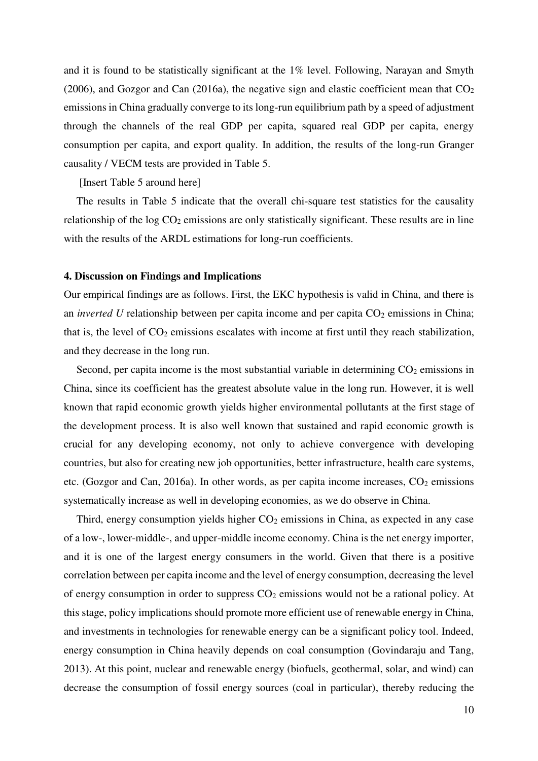and it is found to be statistically significant at the 1% level. Following, Narayan and Smyth (2006), and Gozgor and Can (2016a), the negative sign and elastic coefficient mean that  $CO<sub>2</sub>$ emissions in China gradually converge to its long-run equilibrium path by a speed of adjustment through the channels of the real GDP per capita, squared real GDP per capita, energy consumption per capita, and export quality. In addition, the results of the long-run Granger causality / VECM tests are provided in Table 5.

[Insert Table 5 around here]

The results in Table 5 indicate that the overall chi-square test statistics for the causality relationship of the  $log CO<sub>2</sub>$  emissions are only statistically significant. These results are in line with the results of the ARDL estimations for long-run coefficients.

#### **4. Discussion on Findings and Implications**

Our empirical findings are as follows. First, the EKC hypothesis is valid in China, and there is an *inverted U* relationship between per capita income and per capita CO<sub>2</sub> emissions in China; that is, the level of  $CO<sub>2</sub>$  emissions escalates with income at first until they reach stabilization, and they decrease in the long run.

Second, per capita income is the most substantial variable in determining  $CO<sub>2</sub>$  emissions in China, since its coefficient has the greatest absolute value in the long run. However, it is well known that rapid economic growth yields higher environmental pollutants at the first stage of the development process. It is also well known that sustained and rapid economic growth is crucial for any developing economy, not only to achieve convergence with developing countries, but also for creating new job opportunities, better infrastructure, health care systems, etc. (Gozgor and Can, 2016a). In other words, as per capita income increases,  $CO<sub>2</sub>$  emissions systematically increase as well in developing economies, as we do observe in China.

Third, energy consumption yields higher  $CO<sub>2</sub>$  emissions in China, as expected in any case of a low-, lower-middle-, and upper-middle income economy. China is the net energy importer, and it is one of the largest energy consumers in the world. Given that there is a positive correlation between per capita income and the level of energy consumption, decreasing the level of energy consumption in order to suppress  $CO<sub>2</sub>$  emissions would not be a rational policy. At this stage, policy implications should promote more efficient use of renewable energy in China, and investments in technologies for renewable energy can be a significant policy tool. Indeed, energy consumption in China heavily depends on coal consumption (Govindaraju and Tang, 2013). At this point, nuclear and renewable energy (biofuels, geothermal, solar, and wind) can decrease the consumption of fossil energy sources (coal in particular), thereby reducing the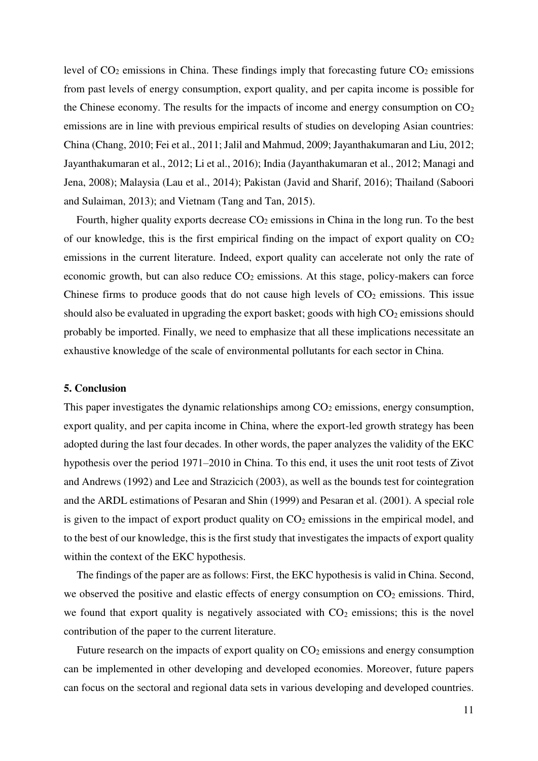level of  $CO<sub>2</sub>$  emissions in China. These findings imply that forecasting future  $CO<sub>2</sub>$  emissions from past levels of energy consumption, export quality, and per capita income is possible for the Chinese economy. The results for the impacts of income and energy consumption on  $CO<sub>2</sub>$ emissions are in line with previous empirical results of studies on developing Asian countries: China (Chang, 2010; Fei et al., 2011; Jalil and Mahmud, 2009; Jayanthakumaran and Liu, 2012; Jayanthakumaran et al., 2012; Li et al., 2016); India (Jayanthakumaran et al., 2012; Managi and Jena, 2008); Malaysia (Lau et al., 2014); Pakistan (Javid and Sharif, 2016); Thailand (Saboori and Sulaiman, 2013); and Vietnam (Tang and Tan, 2015).

Fourth, higher quality exports decrease  $CO<sub>2</sub>$  emissions in China in the long run. To the best of our knowledge, this is the first empirical finding on the impact of export quality on  $CO<sub>2</sub>$ emissions in the current literature. Indeed, export quality can accelerate not only the rate of economic growth, but can also reduce  $CO<sub>2</sub>$  emissions. At this stage, policy-makers can force Chinese firms to produce goods that do not cause high levels of  $CO<sub>2</sub>$  emissions. This issue should also be evaluated in upgrading the export basket; goods with high  $CO<sub>2</sub>$  emissions should probably be imported. Finally, we need to emphasize that all these implications necessitate an exhaustive knowledge of the scale of environmental pollutants for each sector in China.

#### **5. Conclusion**

This paper investigates the dynamic relationships among  $CO<sub>2</sub>$  emissions, energy consumption, export quality, and per capita income in China, where the export-led growth strategy has been adopted during the last four decades. In other words, the paper analyzes the validity of the EKC hypothesis over the period 1971–2010 in China. To this end, it uses the unit root tests of Zivot and Andrews (1992) and Lee and Strazicich (2003), as well as the bounds test for cointegration and the ARDL estimations of Pesaran and Shin (1999) and Pesaran et al. (2001). A special role is given to the impact of export product quality on  $CO<sub>2</sub>$  emissions in the empirical model, and to the best of our knowledge, this is the first study that investigates the impacts of export quality within the context of the EKC hypothesis.

The findings of the paper are as follows: First, the EKC hypothesis is valid in China. Second, we observed the positive and elastic effects of energy consumption on  $CO<sub>2</sub>$  emissions. Third, we found that export quality is negatively associated with  $CO<sub>2</sub>$  emissions; this is the novel contribution of the paper to the current literature.

Future research on the impacts of export quality on  $CO<sub>2</sub>$  emissions and energy consumption can be implemented in other developing and developed economies. Moreover, future papers can focus on the sectoral and regional data sets in various developing and developed countries.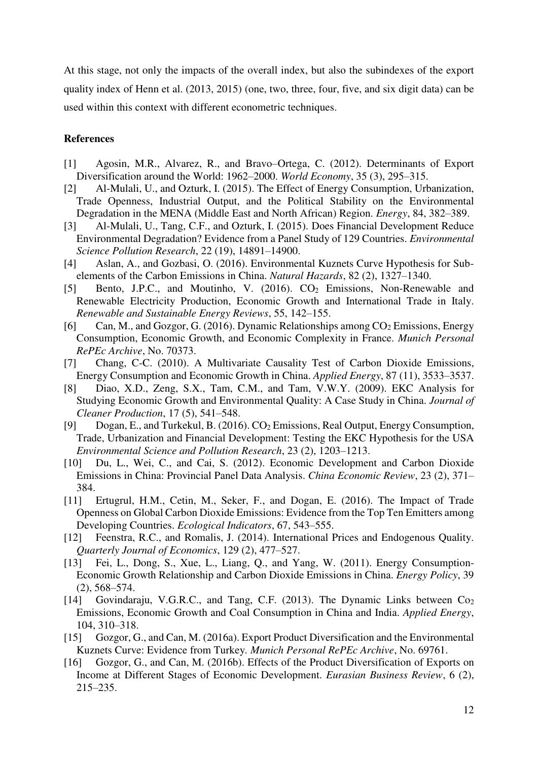At this stage, not only the impacts of the overall index, but also the subindexes of the export quality index of Henn et al. (2013, 2015) (one, two, three, four, five, and six digit data) can be used within this context with different econometric techniques.

### **References**

- [1] Agosin, M.R., Alvarez, R., and Bravo–Ortega, C. (2012). Determinants of Export Diversification around the World: 1962–2000. *World Economy*, 35 (3), 295–315.
- [2] Al-Mulali, U., and Ozturk, I. (2015). The Effect of Energy Consumption, Urbanization, Trade Openness, Industrial Output, and the Political Stability on the Environmental Degradation in the MENA (Middle East and North African) Region. *Energy*, 84, 382–389.
- [3] Al-Mulali, U., Tang, C.F., and Ozturk, I. (2015). Does Financial Development Reduce Environmental Degradation? Evidence from a Panel Study of 129 Countries. *Environmental Science Pollution Research*, 22 (19), 14891–14900.
- [4] Aslan, A., and Gozbasi, O. (2016). Environmental Kuznets Curve Hypothesis for Subelements of the Carbon Emissions in China. *Natural Hazards*, 82 (2), 1327–1340.
- [5] Bento, J.P.C., and Moutinho, V. (2016). CO<sub>2</sub> Emissions, Non-Renewable and Renewable Electricity Production, Economic Growth and International Trade in Italy. *Renewable and Sustainable Energy Reviews*, 55, 142–155.
- [6] Can, M., and Gozgor, G. (2016). Dynamic Relationships among  $CO<sub>2</sub>$  Emissions, Energy Consumption, Economic Growth, and Economic Complexity in France. *Munich Personal RePEc Archive*, No. 70373.
- [7] Chang, C-C. (2010). A Multivariate Causality Test of Carbon Dioxide Emissions, Energy Consumption and Economic Growth in China. *Applied Energy*, 87 (11), 3533–3537.
- [8] Diao, X.D., Zeng, S.X., Tam, C.M., and Tam, V.W.Y. (2009). EKC Analysis for Studying Economic Growth and Environmental Quality: A Case Study in China. *Journal of Cleaner Production*, 17 (5), 541–548.
- [9] Dogan, E., and Turkekul, B. (2016). CO2 Emissions, Real Output, Energy Consumption, Trade, Urbanization and Financial Development: Testing the EKC Hypothesis for the USA *Environmental Science and Pollution Research*, 23 (2), 1203–1213.
- [10] Du, L., Wei, C., and Cai, S. (2012). Economic Development and Carbon Dioxide Emissions in China: Provincial Panel Data Analysis. *China Economic Review*, 23 (2), 371– 384.
- [11] Ertugrul, H.M., Cetin, M., Seker, F., and Dogan, E. (2016). The Impact of Trade Openness on Global Carbon Dioxide Emissions: Evidence from the Top Ten Emitters among Developing Countries. *Ecological Indicators*, 67, 543–555.
- [12] Feenstra, R.C., and Romalis, J. (2014). International Prices and Endogenous Quality. *Quarterly Journal of Economics*, 129 (2), 477–527.
- [13] Fei, L., Dong, S., Xue, L., Liang, Q., and Yang, W. (2011). Energy Consumption-Economic Growth Relationship and Carbon Dioxide Emissions in China. *Energy Policy*, 39 (2), 568–574.
- [14] Govindaraju, V.G.R.C., and Tang, C.F. (2013). The Dynamic Links between Co<sup>2</sup> Emissions, Economic Growth and Coal Consumption in China and India. *Applied Energy*, 104, 310–318.
- [15] Gozgor, G., and Can, M. (2016a). Export Product Diversification and the Environmental Kuznets Curve: Evidence from Turkey*. Munich Personal RePEc Archive*, No. 69761.
- [16] Gozgor, G., and Can, M. (2016b). Effects of the Product Diversification of Exports on Income at Different Stages of Economic Development. *Eurasian Business Review*, 6 (2), 215–235.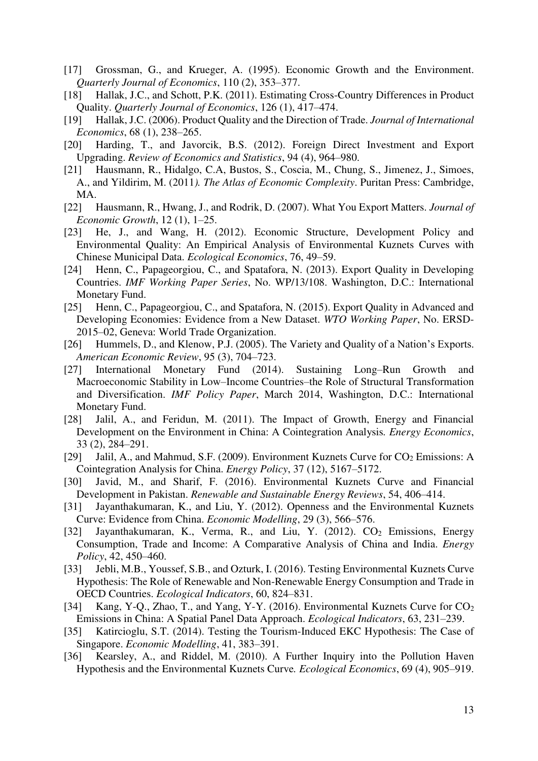- [17] Grossman, G., and Krueger, A. (1995). Economic Growth and the Environment. *Quarterly Journal of Economics*, 110 (2), 353–377.
- [18] Hallak, J.C., and Schott, P.K. (2011). Estimating Cross-Country Differences in Product Quality. *Quarterly Journal of Economics*, 126 (1), 417–474.
- [19] Hallak, J.C. (2006). Product Quality and the Direction of Trade. *Journal of International Economics*, 68 (1), 238–265.
- [20] Harding, T., and Javorcik, B.S. (2012). Foreign Direct Investment and Export Upgrading. *Review of Economics and Statistics*, 94 (4), 964–980.
- [21] Hausmann, R., Hidalgo, C.A, Bustos, S., Coscia, M., Chung, S., Jimenez, J., Simoes, A., and Yildirim, M. (2011*). The Atlas of Economic Complexity*. Puritan Press: Cambridge, MA.
- [22] Hausmann, R., Hwang, J., and Rodrik, D. (2007). What You Export Matters. *Journal of Economic Growth*, 12 (1), 1–25.
- [23] He, J., and Wang, H. (2012). Economic Structure, Development Policy and Environmental Quality: An Empirical Analysis of Environmental Kuznets Curves with Chinese Municipal Data. *Ecological Economics*, 76, 49–59.
- [24] Henn, C., Papageorgiou, C., and Spatafora, N. (2013). Export Quality in Developing Countries. *IMF Working Paper Series*, No. WP/13/108. Washington, D.C.: International Monetary Fund.
- [25] Henn, C., Papageorgiou, C., and Spatafora, N. (2015). Export Quality in Advanced and Developing Economies: Evidence from a New Dataset. *WTO Working Paper*, No. ERSD-2015–02, Geneva: World Trade Organization.
- [26] Hummels, D., and Klenow, P.J. (2005). The Variety and Quality of a Nation's Exports. *American Economic Review*, 95 (3), 704–723.
- [27] International Monetary Fund (2014). Sustaining Long–Run Growth and Macroeconomic Stability in Low–Income Countries–the Role of Structural Transformation and Diversification. *IMF Policy Paper*, March 2014, Washington, D.C.: International Monetary Fund.
- [28] Jalil, A., and Feridun, M. (2011). The Impact of Growth, Energy and Financial Development on the Environment in China: A Cointegration Analysis*. Energy Economics*, 33 (2), 284–291.
- [29] Jalil, A., and Mahmud, S.F. (2009). Environment Kuznets Curve for CO<sub>2</sub> Emissions: A Cointegration Analysis for China. *Energy Policy*, 37 (12), 5167–5172.
- [30] Javid, M., and Sharif, F. (2016). Environmental Kuznets Curve and Financial Development in Pakistan. *Renewable and Sustainable Energy Reviews*, 54, 406–414.
- [31] Jayanthakumaran, K., and Liu, Y. (2012). Openness and the Environmental Kuznets Curve: Evidence from China. *Economic Modelling*, 29 (3), 566–576.
- [32] Jayanthakumaran, K., Verma, R., and Liu, Y. (2012). CO<sub>2</sub> Emissions, Energy Consumption, Trade and Income: A Comparative Analysis of China and India. *Energy Policy*, 42, 450–460.
- [33] Jebli, M.B., Youssef, S.B., and Ozturk, I. (2016). Testing Environmental Kuznets Curve Hypothesis: The Role of Renewable and Non-Renewable Energy Consumption and Trade in OECD Countries. *Ecological Indicators*, 60, 824–831.
- [34] Kang, Y-Q., Zhao, T., and Yang, Y-Y. (2016). Environmental Kuznets Curve for CO<sub>2</sub> Emissions in China: A Spatial Panel Data Approach. *Ecological Indicators*, 63, 231–239.
- [35] Katircioglu, S.T. (2014). Testing the Tourism-Induced EKC Hypothesis: The Case of Singapore. *Economic Modelling*, 41, 383–391.
- [36] Kearsley, A., and Riddel, M. (2010). A Further Inquiry into the Pollution Haven Hypothesis and the Environmental Kuznets Curve*. Ecological Economics*, 69 (4), 905–919.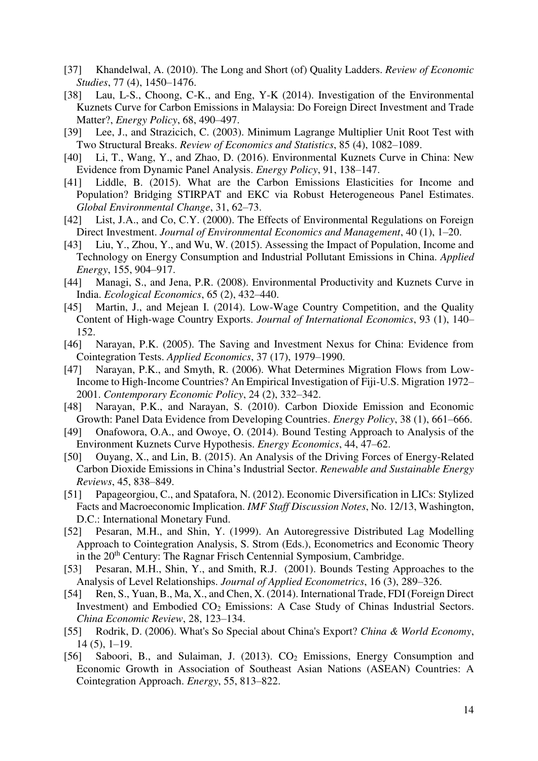- [37] Khandelwal, A. (2010). The Long and Short (of) Quality Ladders. *Review of Economic Studies*, 77 (4), 1450–1476.
- [38] Lau, L-S., Choong, C-K., and Eng, Y-K (2014). Investigation of the Environmental Kuznets Curve for Carbon Emissions in Malaysia: Do Foreign Direct Investment and Trade Matter?, *Energy Policy*, 68, 490–497.
- [39] Lee, J., and Strazicich, C. (2003). Minimum Lagrange Multiplier Unit Root Test with Two Structural Breaks. *Review of Economics and Statistics*, 85 (4), 1082–1089.
- [40] Li, T., Wang, Y., and Zhao, D. (2016). Environmental Kuznets Curve in China: New Evidence from Dynamic Panel Analysis. *Energy Policy*, 91, 138–147.
- [41] Liddle, B. (2015). What are the Carbon Emissions Elasticities for Income and Population? Bridging STIRPAT and EKC via Robust Heterogeneous Panel Estimates. *Global Environmental Change*, 31, 62–73.
- [42] List, J.A., and Co, C.Y. (2000). The Effects of Environmental Regulations on Foreign Direct Investment. *Journal of Environmental Economics and Management*, 40 (1), 1–20.
- [43] Liu, Y., Zhou, Y., and Wu, W. (2015). Assessing the Impact of Population, Income and Technology on Energy Consumption and Industrial Pollutant Emissions in China. *Applied Energy*, 155, 904–917.
- [44] Managi, S., and Jena, P.R. (2008). Environmental Productivity and Kuznets Curve in India. *Ecological Economics*, 65 (2), 432–440.
- [45] Martin, J., and Mejean I. (2014). Low-Wage Country Competition, and the Quality Content of High-wage Country Exports. *Journal of International Economics*, 93 (1), 140– 152.
- [46] Narayan, P.K. (2005). The Saving and Investment Nexus for China: Evidence from Cointegration Tests. *Applied Economics*, 37 (17), 1979–1990.
- [47] Narayan, P.K., and Smyth, R. (2006). What Determines Migration Flows from Low-Income to High-Income Countries? An Empirical Investigation of Fiji-U.S. Migration 1972– 2001. *Contemporary Economic Policy*, 24 (2), 332–342.
- [48] Narayan, P.K., and Narayan, S. (2010). Carbon Dioxide Emission and Economic Growth: Panel Data Evidence from Developing Countries. *Energy Policy*, 38 (1), 661–666.
- [49] Onafowora, O.A., and Owoye, O. (2014). Bound Testing Approach to Analysis of the Environment Kuznets Curve Hypothesis. *Energy Economics*, 44, 47–62.
- [50] Ouyang, X., and Lin, B. (2015). An Analysis of the Driving Forces of Energy-Related Carbon Dioxide Emissions in China's Industrial Sector. *Renewable and Sustainable Energy Reviews*, 45, 838–849.
- [51] Papageorgiou, C., and Spatafora, N. (2012). Economic Diversification in LICs: Stylized Facts and Macroeconomic Implication. *IMF Staff Discussion Notes*, No. 12/13, Washington, D.C.: International Monetary Fund.
- [52] Pesaran, M.H., and Shin, Y. (1999). An Autoregressive Distributed Lag Modelling Approach to Cointegration Analysis, S. Strom (Eds.), Econometrics and Economic Theory in the 20<sup>th</sup> Century: The Ragnar Frisch Centennial Symposium, Cambridge.
- [53] Pesaran, M.H., Shin, Y., and Smith, R.J. (2001). Bounds Testing Approaches to the Analysis of Level Relationships. *Journal of Applied Econometrics*, 16 (3), 289–326.
- [54] Ren, S., Yuan, B., Ma, X., and Chen, X. (2014). International Trade, FDI (Foreign Direct Investment) and Embodied CO<sub>2</sub> Emissions: A Case Study of Chinas Industrial Sectors. *China Economic Review*, 28, 123–134.
- [55] Rodrik, D. (2006). What's So Special about China's Export? *China & World Economy*, 14 (5), 1–19.
- [56] Saboori, B., and Sulaiman, J. (2013). CO<sub>2</sub> Emissions, Energy Consumption and Economic Growth in Association of Southeast Asian Nations (ASEAN) Countries: A Cointegration Approach. *Energy*, 55, 813–822.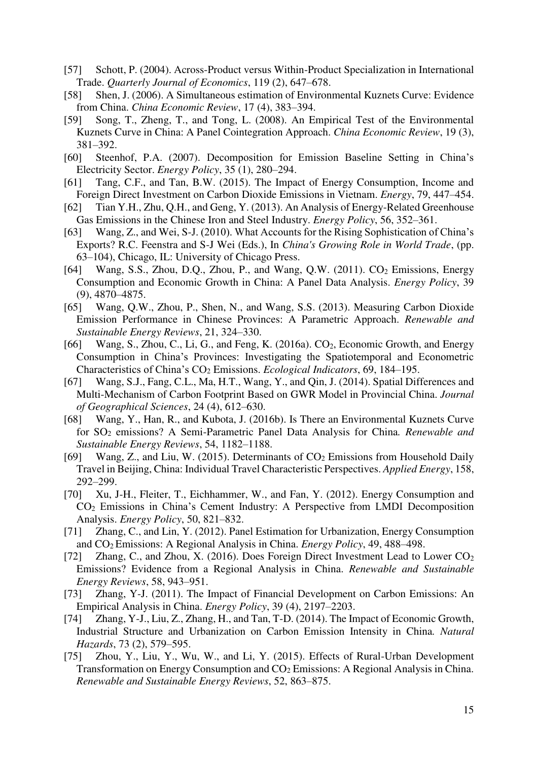- [57] Schott, P. (2004). Across-Product versus Within-Product Specialization in International Trade. *Quarterly Journal of Economics*, 119 (2), 647–678.
- [58] Shen, J. (2006). A Simultaneous estimation of Environmental Kuznets Curve: Evidence from China. *China Economic Review*, 17 (4), 383–394.
- [59] Song, T., Zheng, T., and Tong, L. (2008). An Empirical Test of the Environmental Kuznets Curve in China: A Panel Cointegration Approach. *China Economic Review*, 19 (3), 381–392.
- [60] Steenhof, P.A. (2007). Decomposition for Emission Baseline Setting in China's Electricity Sector. *Energy Policy*, 35 (1), 280–294.
- [61] Tang, C.F., and Tan, B.W. (2015). The Impact of Energy Consumption, Income and Foreign Direct Investment on Carbon Dioxide Emissions in Vietnam. *Energy*, 79, 447–454.
- [62] Tian Y.H., Zhu, Q.H., and Geng, Y. (2013). An Analysis of Energy-Related Greenhouse Gas Emissions in the Chinese Iron and Steel Industry. *Energy Policy*, 56, 352–361.
- [63] Wang, Z., and Wei, S-J. (2010). What Accounts for the Rising Sophistication of China's Exports? R.C. Feenstra and S-J Wei (Eds.), In *China's Growing Role in World Trade*, (pp. 63–104), Chicago, IL: University of Chicago Press.
- [64] Wang, S.S., Zhou, D.Q., Zhou, P., and Wang, Q.W. (2011). CO<sub>2</sub> Emissions, Energy Consumption and Economic Growth in China: A Panel Data Analysis. *Energy Policy*, 39 (9), 4870–4875.
- [65] Wang, Q.W., Zhou, P., Shen, N., and Wang, S.S. (2013). Measuring Carbon Dioxide Emission Performance in Chinese Provinces: A Parametric Approach. *Renewable and Sustainable Energy Reviews*, 21, 324–330.
- [66] Wang, S., Zhou, C., Li, G., and Feng, K. (2016a). CO<sub>2</sub>, Economic Growth, and Energy Consumption in China's Provinces: Investigating the Spatiotemporal and Econometric Characteristics of China's CO2 Emissions. *Ecological Indicators*, 69, 184–195.
- [67] Wang, S.J., Fang, C.L., Ma, H.T., Wang, Y., and Qin, J. (2014). Spatial Differences and Multi-Mechanism of Carbon Footprint Based on GWR Model in Provincial China. *Journal of Geographical Sciences*, 24 (4), 612–630.
- [68] Wang, Y., Han, R., and Kubota, J. (2016b). Is There an Environmental Kuznets Curve for SO2 emissions? A Semi-Parametric Panel Data Analysis for China*. Renewable and Sustainable Energy Reviews*, 54, 1182–1188.
- [69] Wang, Z., and Liu, W. (2015). Determinants of  $CO<sub>2</sub>$  Emissions from Household Daily Travel in Beijing, China: Individual Travel Characteristic Perspectives. *Applied Energy*, 158, 292–299.
- [70] Xu, J-H., Fleiter, T., Eichhammer, W., and Fan, Y. (2012). Energy Consumption and CO<sup>2</sup> Emissions in China's Cement Industry: A Perspective from LMDI Decomposition Analysis. *Energy Policy*, 50, 821–832.
- [71] Zhang, C., and Lin, Y. (2012). Panel Estimation for Urbanization, Energy Consumption and CO2 Emissions: A Regional Analysis in China. *Energy Policy*, 49, 488–498.
- [72] Zhang, C., and Zhou, X. (2016). Does Foreign Direct Investment Lead to Lower CO<sub>2</sub> Emissions? Evidence from a Regional Analysis in China. *Renewable and Sustainable Energy Reviews*, 58, 943–951.
- [73] Zhang, Y-J. (2011). The Impact of Financial Development on Carbon Emissions: An Empirical Analysis in China. *Energy Policy*, 39 (4), 2197–2203.
- [74] Zhang, Y-J., Liu, Z., Zhang, H., and Tan, T-D. (2014). The Impact of Economic Growth, Industrial Structure and Urbanization on Carbon Emission Intensity in China*. Natural Hazards*, 73 (2), 579–595.
- [75] Zhou, Y., Liu, Y., Wu, W., and Li, Y. (2015). Effects of Rural-Urban Development Transformation on Energy Consumption and CO<sub>2</sub> Emissions: A Regional Analysis in China. *Renewable and Sustainable Energy Reviews*, 52, 863–875.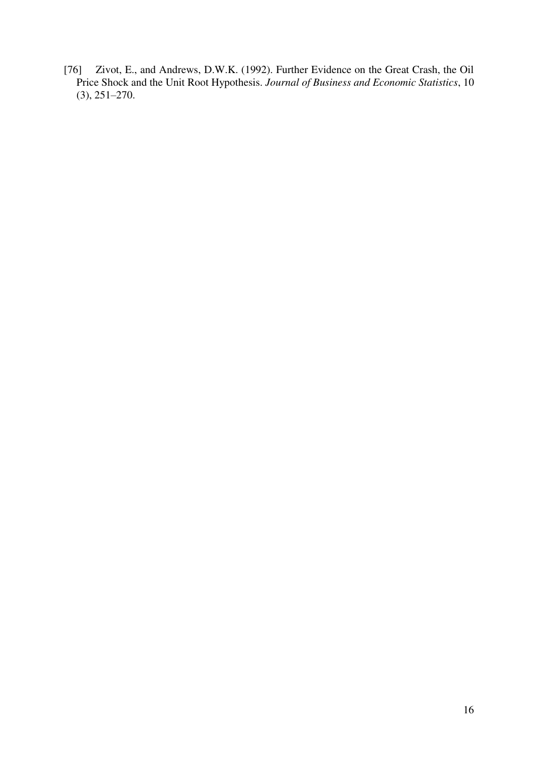[76] Zivot, E., and Andrews, D.W.K. (1992). Further Evidence on the Great Crash, the Oil Price Shock and the Unit Root Hypothesis. *Journal of Business and Economic Statistics*, 10 (3), 251–270.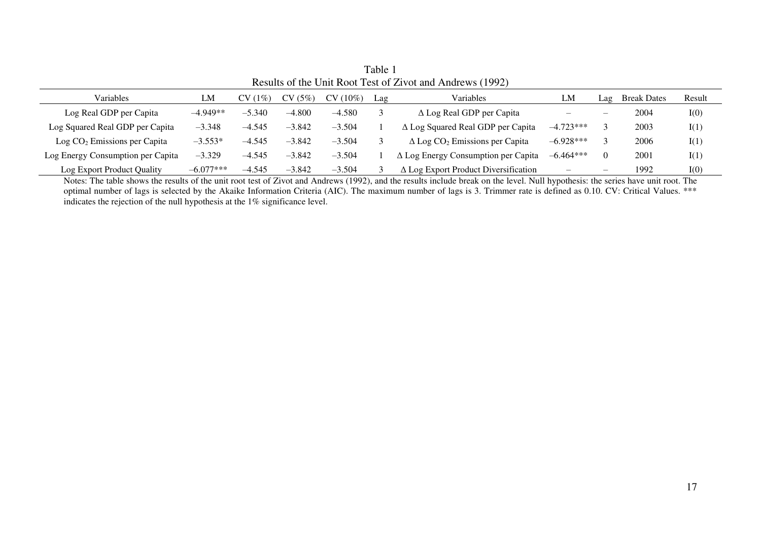| $\frac{1}{2}$                     |             |          |          |            |     |                                                   |             |                 |                    |        |
|-----------------------------------|-------------|----------|----------|------------|-----|---------------------------------------------------|-------------|-----------------|--------------------|--------|
| Variables                         | LM          | CV(1%)   | CV(5%)   | $CV(10\%)$ | Lag | <b>Variables</b>                                  | LM          | $\mathbf{L}$ ag | <b>Break Dates</b> | Result |
| Log Real GDP per Capita           | $-4.949**$  | $-5.340$ | $-4.800$ | $-4.580$   |     | $\Delta$ Log Real GDP per Capita                  | –           | -               | 2004               | I(0)   |
| Log Squared Real GDP per Capita   | $-3.348$    | $-4.545$ | $-3.842$ | $-3.504$   |     | $\Delta$ Log Squared Real GDP per Capita          | $-4.723***$ |                 | 2003               | I(1)   |
| $Log CO2 Emissions per Capita$    | $-3.553*$   | $-4.545$ | $-3.842$ | $-3.504$   |     | $\Delta$ Log CO <sub>2</sub> Emissions per Capita | $-6.928***$ |                 | 2006               | I(1)   |
| Log Energy Consumption per Capita | $-3.329$    | $-4.545$ | $-3.842$ | $-3.504$   |     | $\Delta$ Log Energy Consumption per Capita        | $-6.464***$ |                 | 2001               | I(1)   |
| Log Export Product Quality        | $-6.077***$ | $-4.545$ | $-3.842$ | $-3.504$   |     | $\Delta$ Log Export Product Diversification       |             | –               | 1992               | I(0)   |

Table 1 Results of the Unit Root Test of Zivot and Andrews (1992)

Notes: The table shows the results of the unit root test of Zivot and Andrews (1992), and the results include break on the level. Null hypothesis: the series have unit root. The optimal number of lags is selected by the Akaike Information Criteria (AIC). The maximum number of lags is 3. Trimmer rate is defined as 0.10. CV: Critical Values. \*\*\* indicates the rejection of the null hypothesis at the 1% significance level.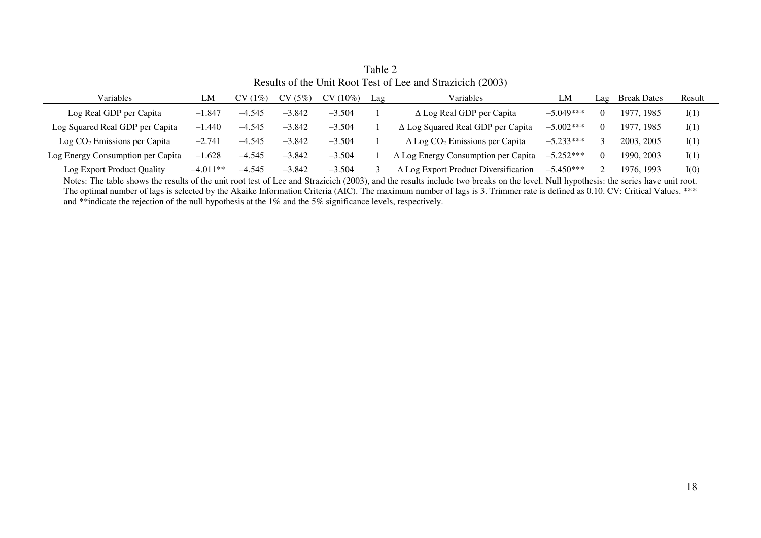| Reparts of the Unit Root Test of Lee and Stramenth (2005) |            |           |          |          |     |                                                   |             |     |                    |        |
|-----------------------------------------------------------|------------|-----------|----------|----------|-----|---------------------------------------------------|-------------|-----|--------------------|--------|
| Variables                                                 | LM         | $CV(1\%)$ | CV(5%)   | CV(10%)  | Lag | Variables                                         | LM          | Lag | <b>Break Dates</b> | Result |
| Log Real GDP per Capita                                   | $-1.847$   | $-4.545$  | $-3.842$ | $-3.504$ |     | $\Delta$ Log Real GDP per Capita                  | $-5.049***$ |     | 1977, 1985         | I(1)   |
| Log Squared Real GDP per Capita                           | $-1.440$   | $-4.545$  | $-3.842$ | $-3.504$ |     | $\Delta$ Log Squared Real GDP per Capita          | $-5.002***$ |     | 1977, 1985         | I(1)   |
| $\text{Log CO}_2$ Emissions per Capita                    | $-2.741$   | $-4.545$  | $-3.842$ | $-3.504$ |     | $\Delta$ Log CO <sub>2</sub> Emissions per Capita | $-5.233***$ |     | 2003, 2005         | I(1)   |
| Log Energy Consumption per Capita                         | .628<br>-1 | $-4.545$  | $-3.842$ | $-3.504$ |     | $\Delta$ Log Energy Consumption per Capita        | $-5.252***$ | 0   | 1990, 2003         | I(1)   |
| Log Export Product Quality                                | $-4.011**$ | $-4.545$  | $-3.842$ | $-3.504$ |     | $\Delta$ Log Export Product Diversification       | $-5.450***$ |     | 1976, 1993         | I(0)   |

Table 2 Results of the Unit Root Test of Lee and Strazicich (2003)

Notes: The table shows the results of the unit root test of Lee and Strazicich (2003), and the results include two breaks on the level. Null hypothesis: the series have unit root. The optimal number of lags is selected by the Akaike Information Criteria (AIC). The maximum number of lags is 3. Trimmer rate is defined as 0.10. CV: Critical Values. \*\*\* and \*\*indicate the rejection of the null hypothesis at the 1% and the 5% significance levels, respectively.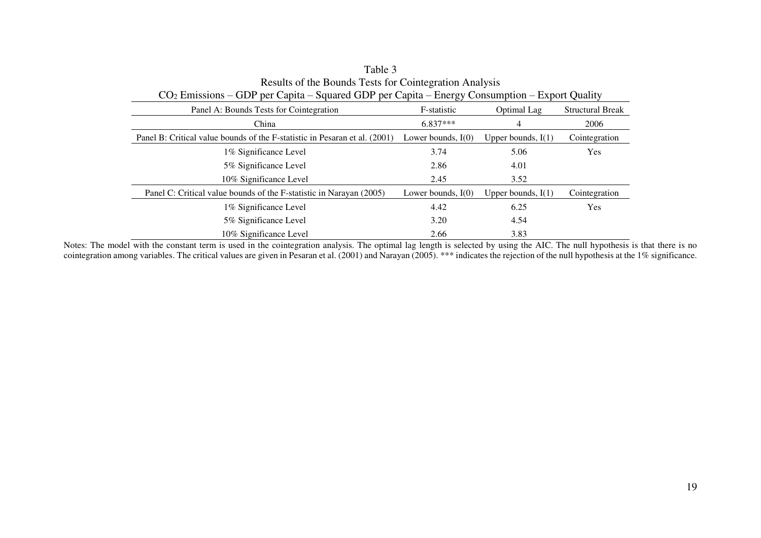| $CO2$ Emissions – GDP per Capita – Squared GDP per Capita – Energy Consumption – Export Quality |                      |                      |                         |  |  |  |
|-------------------------------------------------------------------------------------------------|----------------------|----------------------|-------------------------|--|--|--|
| Panel A: Bounds Tests for Cointegration                                                         | F-statistic          | Optimal Lag          | <b>Structural Break</b> |  |  |  |
| China                                                                                           | $6.837***$           | 4                    | 2006                    |  |  |  |
| Panel B: Critical value bounds of the F-statistic in Pesaran et al. (2001)                      | Lower bounds, $I(0)$ | Upper bounds, $I(1)$ | Cointegration           |  |  |  |
| 1% Significance Level                                                                           | 3.74                 | 5.06                 | <b>Yes</b>              |  |  |  |
| 5% Significance Level                                                                           | 2.86                 | 4.01                 |                         |  |  |  |
| 10% Significance Level                                                                          | 2.45                 | 3.52                 |                         |  |  |  |
| Panel C: Critical value bounds of the F-statistic in Narayan (2005)                             | Lower bounds, $I(0)$ | Upper bounds, $I(1)$ | Cointegration           |  |  |  |
| 1% Significance Level                                                                           | 4.42                 | 6.25                 | <b>Yes</b>              |  |  |  |
| 5% Significance Level                                                                           | 3.20                 | 4.54                 |                         |  |  |  |
| 10% Significance Level                                                                          | 2.66                 | 3.83                 |                         |  |  |  |

| Table 3                                                                                         |
|-------------------------------------------------------------------------------------------------|
| Results of the Bounds Tests for Cointegration Analysis                                          |
| $CO2 Emissions - GDP$ per Capita – Squared GDP per Capita – Energy Consumption – Export Quality |

Notes: The model with the constant term is used in the cointegration analysis. The optimal lag length is selected by using the AIC. The null hypothesis is that there is no cointegration among variables. The critical values are given in Pesaran et al. (2001) and Narayan (2005). \*\*\* indicates the rejection of the null hypothesis at the 1% significance.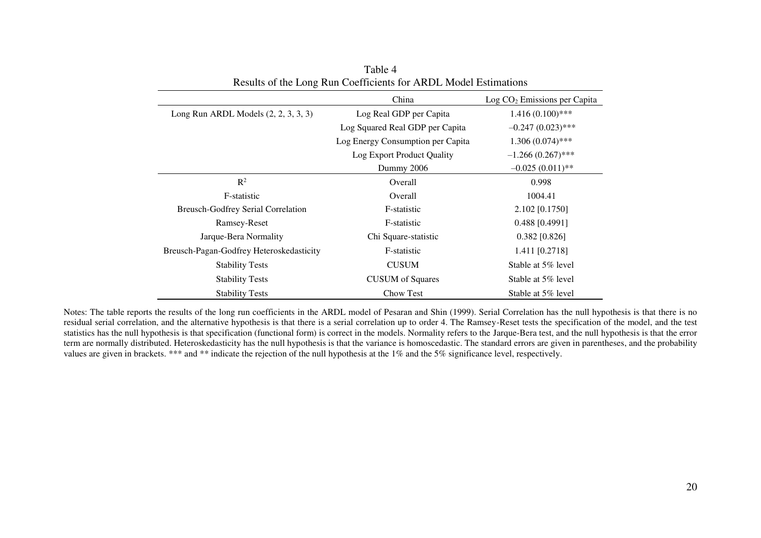|                                           | China                             | $Log CO2 Emissions per Capita$ |  |
|-------------------------------------------|-----------------------------------|--------------------------------|--|
| Long Run ARDL Models $(2, 2, 3, 3, 3)$    | Log Real GDP per Capita           | $1.416(0.100)$ ***             |  |
|                                           | Log Squared Real GDP per Capita   | $-0.247(0.023)$ ***            |  |
|                                           | Log Energy Consumption per Capita | $1.306(0.074)$ ***             |  |
|                                           | Log Export Product Quality        | $-1.266(0.267)$ ***            |  |
|                                           | Dummy 2006                        | $-0.025(0.011)$ **             |  |
| $\mathbb{R}^2$                            | <b>Overall</b>                    | 0.998                          |  |
| F-statistic                               | Overall                           | 1004.41                        |  |
| <b>Breusch-Godfrey Serial Correlation</b> | F-statistic                       | 2.102 [0.1750]                 |  |
| Ramsey-Reset                              | F-statistic                       | $0.488$ [0.4991]               |  |
| Jarque-Bera Normality                     | Chi Square-statistic              | $0.382$ [0.826]                |  |
| Breusch-Pagan-Godfrey Heteroskedasticity  | F-statistic                       | 1.411 [0.2718]                 |  |
| <b>Stability Tests</b>                    | <b>CUSUM</b>                      | Stable at 5% level             |  |
| <b>Stability Tests</b>                    | <b>CUSUM</b> of Squares           | Stable at 5% level             |  |
| <b>Stability Tests</b>                    | Chow Test                         | Stable at 5% level             |  |

Table 4 Results of the Long Run Coefficients for ARDL Model Estimations

Notes: The table reports the results of the long run coefficients in the ARDL model of Pesaran and Shin (1999). Serial Correlation has the null hypothesis is that there is no residual serial correlation, and the alternative hypothesis is that there is a serial correlation up to order 4. The Ramsey-Reset tests the specification of the model, and the test statistics has the null hypothesis is that specification (functional form) is correct in the models. Normality refers to the Jarque-Bera test, and the null hypothesis is that the error term are normally distributed. Heteroskedasticity has the null hypothesis is that the variance is homoscedastic. The standard errors are given in parentheses, and the probability values are given in brackets. \*\*\* and \*\* indicate the rejection of the null hypothesis at the 1% and the 5% significance level, respectively.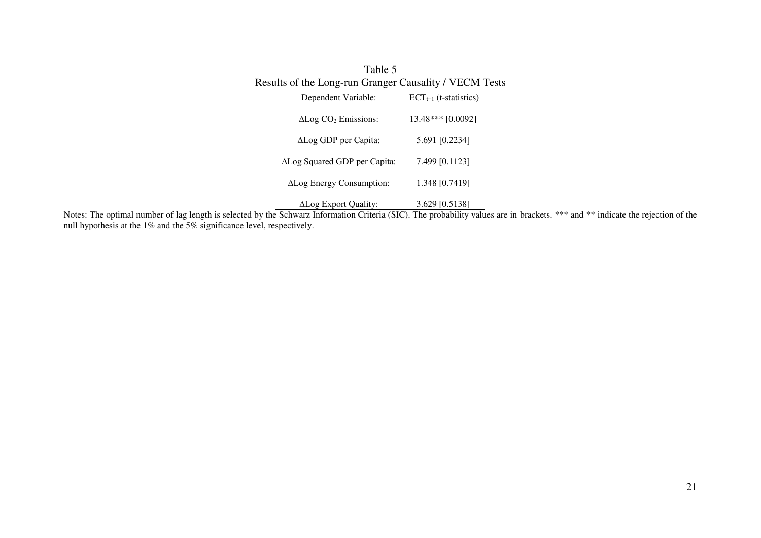| Table 5                                                |                            |
|--------------------------------------------------------|----------------------------|
| Results of the Long-run Granger Causality / VECM Tests |                            |
| Dependent Variable:                                    | $ECT_{t-1}$ (t-statistics) |
| $\Delta$ Log CO <sub>2</sub> Emissions:                | 13.48*** [0.0092]          |
| $\Delta$ Log GDP per Capita:                           | 5.691 [0.2234]             |
| $\Delta$ Log Squared GDP per Capita:                   | 7.499 [0.1123]             |
| ALog Energy Consumption:                               | 1.348 [0.7419]             |
| ΔLog Export Quality:                                   | 3.629 [0.5138]             |

Notes: The optimal number of lag length is selected by the Schwarz Information Criteria (SIC). The probability values are in brackets. \*\*\* and \*\* indicate the rejection of the null hypothesis at the 1% and the 5% significance level, respectively.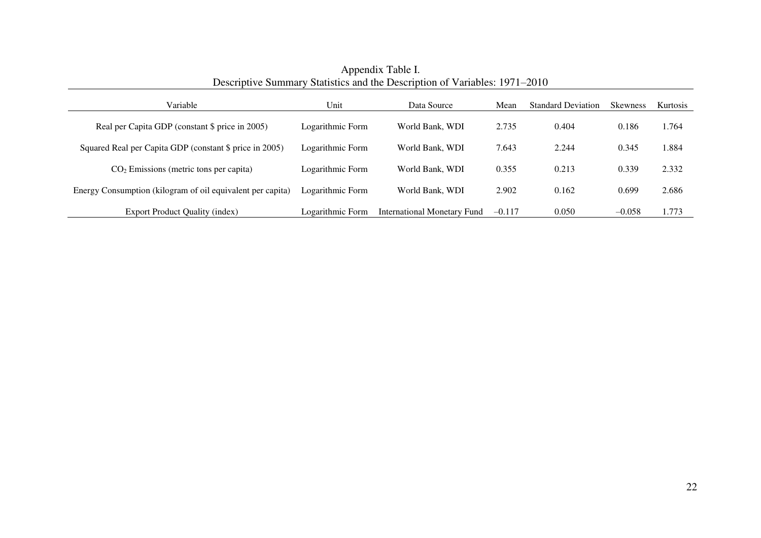| Variable                                                   | Unit             | Data Source                 | Mean     | <b>Standard Deviation</b> | <b>Skewness</b> | Kurtosis |
|------------------------------------------------------------|------------------|-----------------------------|----------|---------------------------|-----------------|----------|
| Real per Capita GDP (constant \$ price in 2005)            | Logarithmic Form | World Bank, WDI             | 2.735    | 0.404                     | 0.186           | 1.764    |
| Squared Real per Capita GDP (constant \$ price in 2005)    | Logarithmic Form | World Bank, WDI             | 7.643    | 2.244                     | 0.345           | 1.884    |
| $CO2$ Emissions (metric tons per capita)                   | Logarithmic Form | World Bank, WDI             | 0.355    | 0.213                     | 0.339           | 2.332    |
| Energy Consumption (kilogram of oil equivalent per capita) | Logarithmic Form | World Bank, WDI             | 2.902    | 0.162                     | 0.699           | 2.686    |
| Export Product Quality (index)                             | Logarithmic Form | International Monetary Fund | $-0.117$ | 0.050                     | $-0.058$        | 1.773    |

Appendix Table I. Descriptive Summary Statistics and the Description of Variables: 1971–2010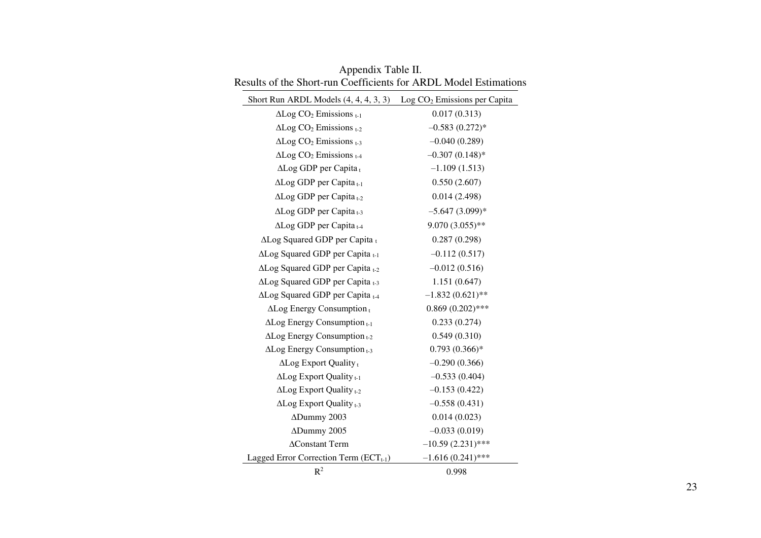| Short Run ARDL Models $(4, 4, 4, 3, 3)$ Log $CO2$ Emissions per Capita |                     |
|------------------------------------------------------------------------|---------------------|
| $\Delta$ Log CO <sub>2</sub> Emissions $_{t-1}$                        | 0.017(0.313)        |
| $\Delta$ Log CO <sub>2</sub> Emissions $_{t-2}$                        | $-0.583(0.272)*$    |
| $\Delta$ Log CO <sub>2</sub> Emissions $_{t-3}$                        | $-0.040(0.289)$     |
| $\Delta$ Log CO <sub>2</sub> Emissions $_{t-4}$                        | $-0.307(0.148)$ *   |
| $\Delta$ Log GDP per Capita <sub>t</sub>                               | $-1.109(1.513)$     |
| $\Delta$ Log GDP per Capita <sub>t-1</sub>                             | 0.550(2.607)        |
| $\Delta$ Log GDP per Capita t-2                                        | 0.014(2.498)        |
| $\Delta$ Log GDP per Capita <sub>t-3</sub>                             | $-5.647(3.099)*$    |
| $\Delta$ Log GDP per Capita $_{t-4}$                                   | $9.070(3.055)$ **   |
| $\Delta$ Log Squared GDP per Capita t                                  | 0.287(0.298)        |
| ΔLog Squared GDP per Capita t-1                                        | $-0.112(0.517)$     |
| $\Delta$ Log Squared GDP per Capita $_{t=2}$                           | $-0.012(0.516)$     |
| $\Delta$ Log Squared GDP per Capita $_{t=3}$                           | 1.151(0.647)        |
| ΔLog Squared GDP per Capita t-4                                        | $-1.832(0.621)$ **  |
| $\Delta$ Log Energy Consumption <sub>t</sub>                           | $0.869(0.202)$ ***  |
| $\Delta$ Log Energy Consumption $_{t-1}$                               | 0.233(0.274)        |
| $\Delta$ Log Energy Consumption $_{t-2}$                               | 0.549(0.310)        |
| $\Delta$ Log Energy Consumption $_{t=3}$                               | $0.793(0.366)*$     |
| $\Delta$ Log Export Quality <sub>t</sub>                               | $-0.290(0.366)$     |
| $\Delta$ Log Export Quality <sub>t-1</sub>                             | $-0.533(0.404)$     |
| $\Delta$ Log Export Quality <sub>t-2</sub>                             | $-0.153(0.422)$     |
| $\Delta$ Log Export Quality <sub>t-3</sub>                             | $-0.558(0.431)$     |
| ADummy 2003                                                            | 0.014(0.023)        |
| ADummy 2005                                                            | $-0.033(0.019)$     |
| <b>AConstant Term</b>                                                  | $-10.59(2.231)$ *** |
| Lagged Error Correction Term $(ECTt-1)$                                | $-1.616(0.241)$ *** |
| $R^2$                                                                  | 0.998               |

Appendix Table II. Results of the Short-run Coefficients for ARDL Model Estimations